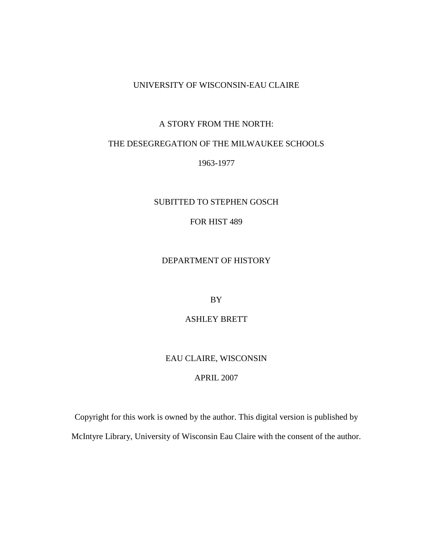# UNIVERSITY OF WISCONSIN-EAU CLAIRE

## A STORY FROM THE NORTH:

# THE DESEGREGATION OF THE MILWAUKEE SCHOOLS

1963-1977

SUBITTED TO STEPHEN GOSCH

# FOR HIST 489

## DEPARTMENT OF HISTORY

BY

# ASHLEY BRETT

# EAU CLAIRE, WISCONSIN

# APRIL 2007

Copyright for this work is owned by the author. This digital version is published by McIntyre Library, University of Wisconsin Eau Claire with the consent of the author.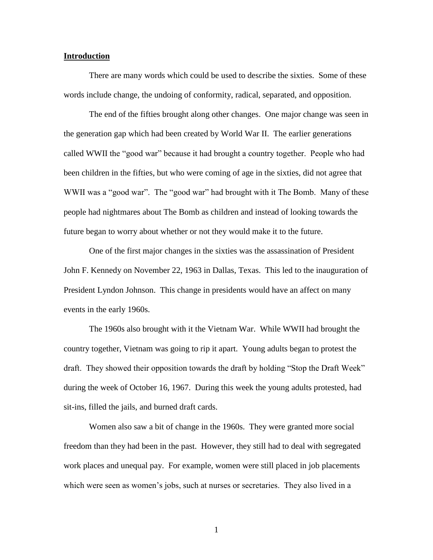## **Introduction**

There are many words which could be used to describe the sixties. Some of these words include change, the undoing of conformity, radical, separated, and opposition.

The end of the fifties brought along other changes. One major change was seen in the generation gap which had been created by World War II. The earlier generations called WWII the "good war" because it had brought a country together. People who had been children in the fifties, but who were coming of age in the sixties, did not agree that WWII was a "good war". The "good war" had brought with it The Bomb. Many of these people had nightmares about The Bomb as children and instead of looking towards the future began to worry about whether or not they would make it to the future.

One of the first major changes in the sixties was the assassination of President John F. Kennedy on November 22, 1963 in Dallas, Texas. This led to the inauguration of President Lyndon Johnson. This change in presidents would have an affect on many events in the early 1960s.

The 1960s also brought with it the Vietnam War. While WWII had brought the country together, Vietnam was going to rip it apart. Young adults began to protest the draft. They showed their opposition towards the draft by holding "Stop the Draft Week" during the week of October 16, 1967. During this week the young adults protested, had sit-ins, filled the jails, and burned draft cards.

Women also saw a bit of change in the 1960s. They were granted more social freedom than they had been in the past. However, they still had to deal with segregated work places and unequal pay. For example, women were still placed in job placements which were seen as women's jobs, such at nurses or secretaries. They also lived in a

1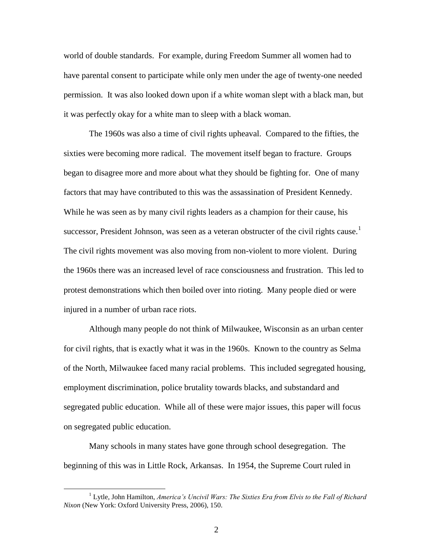world of double standards. For example, during Freedom Summer all women had to have parental consent to participate while only men under the age of twenty-one needed permission. It was also looked down upon if a white woman slept with a black man, but it was perfectly okay for a white man to sleep with a black woman.

The 1960s was also a time of civil rights upheaval. Compared to the fifties, the sixties were becoming more radical. The movement itself began to fracture. Groups began to disagree more and more about what they should be fighting for. One of many factors that may have contributed to this was the assassination of President Kennedy. While he was seen as by many civil rights leaders as a champion for their cause, his successor, President Johnson, was seen as a veteran obstructer of the civil rights cause.<sup>1</sup> The civil rights movement was also moving from non-violent to more violent. During the 1960s there was an increased level of race consciousness and frustration. This led to protest demonstrations which then boiled over into rioting. Many people died or were injured in a number of urban race riots.

Although many people do not think of Milwaukee, Wisconsin as an urban center for civil rights, that is exactly what it was in the 1960s. Known to the country as Selma of the North, Milwaukee faced many racial problems. This included segregated housing, employment discrimination, police brutality towards blacks, and substandard and segregated public education. While all of these were major issues, this paper will focus on segregated public education.

Many schools in many states have gone through school desegregation. The beginning of this was in Little Rock, Arkansas. In 1954, the Supreme Court ruled in

<sup>1</sup> Lytle, John Hamilton, *America's Uncivil Wars: The Sixties Era from Elvis to the Fall of Richard Nixon* (New York: Oxford University Press, 2006), 150.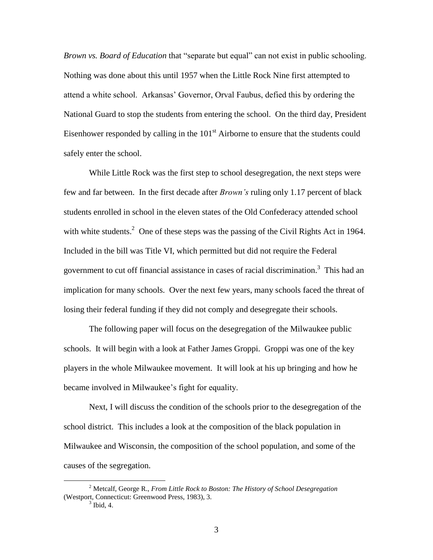*Brown vs. Board of Education* that "separate but equal" can not exist in public schooling. Nothing was done about this until 1957 when the Little Rock Nine first attempted to attend a white school. Arkansas' Governor, Orval Faubus, defied this by ordering the National Guard to stop the students from entering the school. On the third day, President Eisenhower responded by calling in the  $101<sup>st</sup>$  Airborne to ensure that the students could safely enter the school.

While Little Rock was the first step to school desegregation, the next steps were few and far between. In the first decade after *Brown's* ruling only 1.17 percent of black students enrolled in school in the eleven states of the Old Confederacy attended school with white students.<sup>2</sup> One of these steps was the passing of the Civil Rights Act in 1964. Included in the bill was Title VI, which permitted but did not require the Federal government to cut off financial assistance in cases of racial discrimination.<sup>3</sup> This had an implication for many schools. Over the next few years, many schools faced the threat of losing their federal funding if they did not comply and desegregate their schools.

The following paper will focus on the desegregation of the Milwaukee public schools. It will begin with a look at Father James Groppi. Groppi was one of the key players in the whole Milwaukee movement. It will look at his up bringing and how he became involved in Milwaukee's fight for equality.

Next, I will discuss the condition of the schools prior to the desegregation of the school district. This includes a look at the composition of the black population in Milwaukee and Wisconsin, the composition of the school population, and some of the causes of the segregation.

<sup>2</sup> Metcalf, George R., *From Little Rock to Boston: The History of School Desegregation* (Westport, Connecticut: Greenwood Press, 1983), 3.

 $3$  Ibid, 4.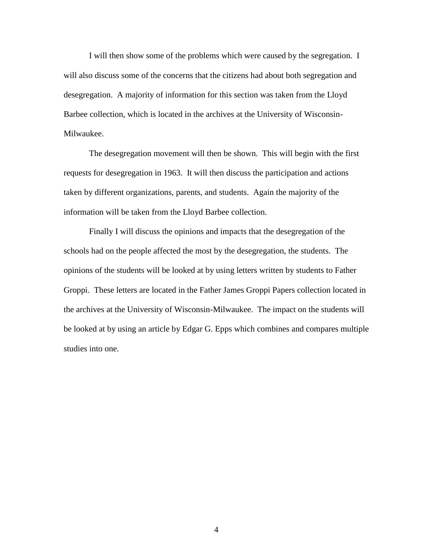I will then show some of the problems which were caused by the segregation. I will also discuss some of the concerns that the citizens had about both segregation and desegregation. A majority of information for this section was taken from the Lloyd Barbee collection, which is located in the archives at the University of Wisconsin-Milwaukee.

The desegregation movement will then be shown. This will begin with the first requests for desegregation in 1963. It will then discuss the participation and actions taken by different organizations, parents, and students. Again the majority of the information will be taken from the Lloyd Barbee collection.

Finally I will discuss the opinions and impacts that the desegregation of the schools had on the people affected the most by the desegregation, the students. The opinions of the students will be looked at by using letters written by students to Father Groppi. These letters are located in the Father James Groppi Papers collection located in the archives at the University of Wisconsin-Milwaukee. The impact on the students will be looked at by using an article by Edgar G. Epps which combines and compares multiple studies into one.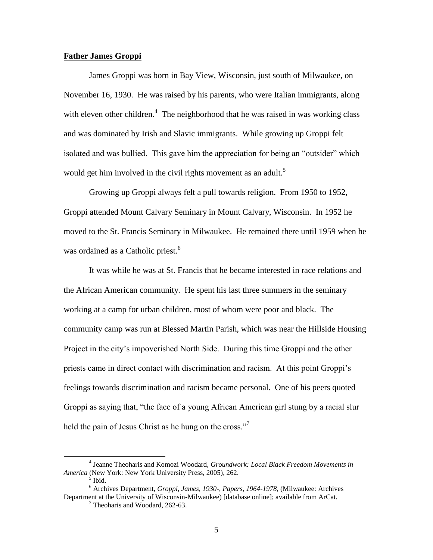## **Father James Groppi**

James Groppi was born in Bay View, Wisconsin, just south of Milwaukee, on November 16, 1930. He was raised by his parents, who were Italian immigrants, along with eleven other children. $4$  The neighborhood that he was raised in was working class and was dominated by Irish and Slavic immigrants. While growing up Groppi felt isolated and was bullied. This gave him the appreciation for being an "outsider" which would get him involved in the civil rights movement as an adult.<sup>5</sup>

Growing up Groppi always felt a pull towards religion. From 1950 to 1952, Groppi attended Mount Calvary Seminary in Mount Calvary, Wisconsin. In 1952 he moved to the St. Francis Seminary in Milwaukee. He remained there until 1959 when he was ordained as a Catholic priest.<sup>6</sup>

It was while he was at St. Francis that he became interested in race relations and the African American community. He spent his last three summers in the seminary working at a camp for urban children, most of whom were poor and black. The community camp was run at Blessed Martin Parish, which was near the Hillside Housing Project in the city's impoverished North Side. During this time Groppi and the other priests came in direct contact with discrimination and racism. At this point Groppi's feelings towards discrimination and racism became personal. One of his peers quoted Groppi as saying that, "the face of a young African American girl stung by a racial slur held the pain of Jesus Christ as he hung on the cross."

<sup>4</sup> Jeanne Theoharis and Komozi Woodard, *Groundwork: Local Black Freedom Movements in America* (New York: New York University Press, 2005), 262.

 $<sup>5</sup>$  Ibid.</sup>

<sup>6</sup> Archives Department, *Groppi, James, 1930-, Papers, 1964-1978*, (Milwaukee: Archives Department at the University of Wisconsin-Milwaukee) [database online]; available from ArCat.

 $7$  Theoharis and Woodard, 262-63.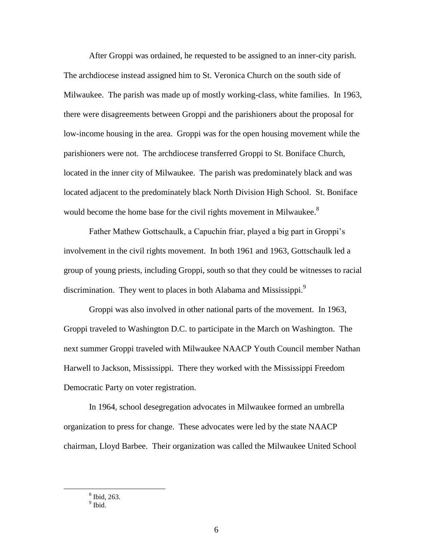After Groppi was ordained, he requested to be assigned to an inner-city parish. The archdiocese instead assigned him to St. Veronica Church on the south side of Milwaukee. The parish was made up of mostly working-class, white families. In 1963, there were disagreements between Groppi and the parishioners about the proposal for low-income housing in the area. Groppi was for the open housing movement while the parishioners were not. The archdiocese transferred Groppi to St. Boniface Church, located in the inner city of Milwaukee. The parish was predominately black and was located adjacent to the predominately black North Division High School. St. Boniface would become the home base for the civil rights movement in Milwaukee.<sup>8</sup>

Father Mathew Gottschaulk, a Capuchin friar, played a big part in Groppi's involvement in the civil rights movement. In both 1961 and 1963, Gottschaulk led a group of young priests, including Groppi, south so that they could be witnesses to racial discrimination. They went to places in both Alabama and Mississippi.<sup>9</sup>

Groppi was also involved in other national parts of the movement. In 1963, Groppi traveled to Washington D.C. to participate in the March on Washington. The next summer Groppi traveled with Milwaukee NAACP Youth Council member Nathan Harwell to Jackson, Mississippi. There they worked with the Mississippi Freedom Democratic Party on voter registration.

In 1964, school desegregation advocates in Milwaukee formed an umbrella organization to press for change. These advocates were led by the state NAACP chairman, Lloyd Barbee. Their organization was called the Milwaukee United School

<sup>8</sup> Ibid, 263.

<sup>&</sup>lt;sup>9</sup> Ibid.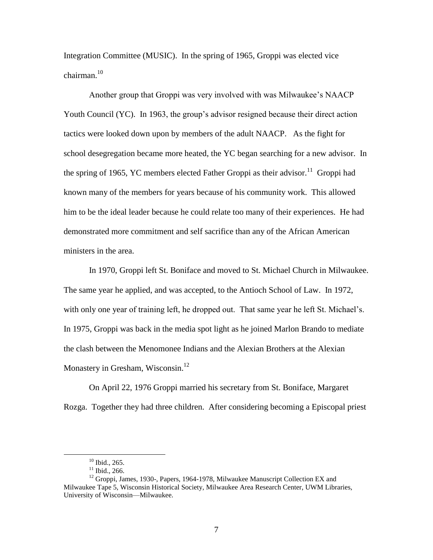Integration Committee (MUSIC). In the spring of 1965, Groppi was elected vice chairman. $10$ 

Another group that Groppi was very involved with was Milwaukee's NAACP Youth Council (YC). In 1963, the group's advisor resigned because their direct action tactics were looked down upon by members of the adult NAACP. As the fight for school desegregation became more heated, the YC began searching for a new advisor. In the spring of 1965, YC members elected Father Groppi as their advisor.<sup>11</sup> Groppi had known many of the members for years because of his community work. This allowed him to be the ideal leader because he could relate too many of their experiences. He had demonstrated more commitment and self sacrifice than any of the African American ministers in the area.

In 1970, Groppi left St. Boniface and moved to St. Michael Church in Milwaukee. The same year he applied, and was accepted, to the Antioch School of Law. In 1972, with only one year of training left, he dropped out. That same year he left St. Michael's. In 1975, Groppi was back in the media spot light as he joined Marlon Brando to mediate the clash between the Menomonee Indians and the Alexian Brothers at the Alexian Monastery in Gresham, Wisconsin.<sup>12</sup>

On April 22, 1976 Groppi married his secretary from St. Boniface, Margaret Rozga. Together they had three children. After considering becoming a Episcopal priest

<sup>10</sup> Ibid., 265.

 $11$  Ibid., 266.

<sup>&</sup>lt;sup>12</sup> Groppi, James, 1930-, Papers, 1964-1978, Milwaukee Manuscript Collection EX and Milwaukee Tape 5, Wisconsin Historical Society, Milwaukee Area Research Center, UWM Libraries, University of Wisconsin—Milwaukee.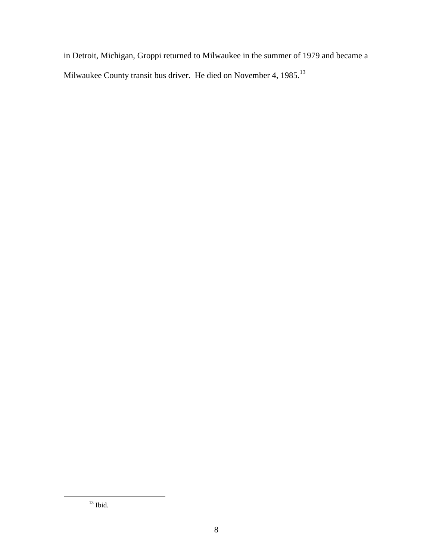in Detroit, Michigan, Groppi returned to Milwaukee in the summer of 1979 and became a Milwaukee County transit bus driver. He died on November 4, 1985.<sup>13</sup>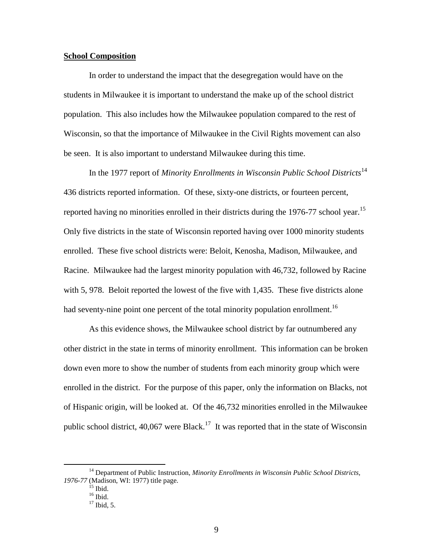### **School Composition**

In order to understand the impact that the desegregation would have on the students in Milwaukee it is important to understand the make up of the school district population. This also includes how the Milwaukee population compared to the rest of Wisconsin, so that the importance of Milwaukee in the Civil Rights movement can also be seen. It is also important to understand Milwaukee during this time.

In the 1977 report of *Minority Enrollments in Wisconsin Public School Districts*<sup>14</sup> 436 districts reported information. Of these, sixty-one districts, or fourteen percent, reported having no minorities enrolled in their districts during the 1976-77 school year.<sup>15</sup> Only five districts in the state of Wisconsin reported having over 1000 minority students enrolled. These five school districts were: Beloit, Kenosha, Madison, Milwaukee, and Racine. Milwaukee had the largest minority population with 46,732, followed by Racine with 5, 978. Beloit reported the lowest of the five with 1,435. These five districts alone had seventy-nine point one percent of the total minority population enrollment.<sup>16</sup>

As this evidence shows, the Milwaukee school district by far outnumbered any other district in the state in terms of minority enrollment. This information can be broken down even more to show the number of students from each minority group which were enrolled in the district. For the purpose of this paper, only the information on Blacks, not of Hispanic origin, will be looked at. Of the 46,732 minorities enrolled in the Milwaukee public school district,  $40,067$  were Black.<sup>17</sup> It was reported that in the state of Wisconsin

<sup>14</sup> Department of Public Instruction, *Minority Enrollments in Wisconsin Public School Districts, 1976-77* (Madison, WI: 1977) title page.

 $15$  Ibid.

 $16$  Ibid.

 $17$  Ibid, 5.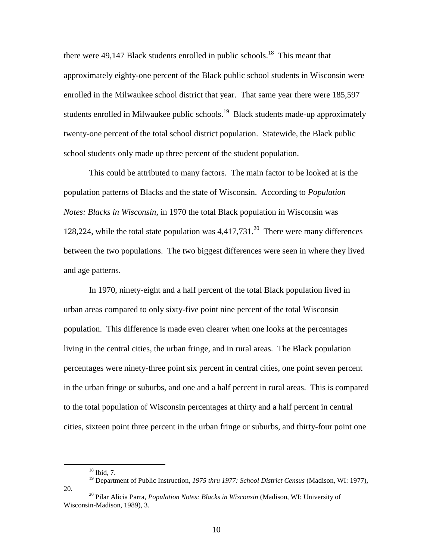there were 49,147 Black students enrolled in public schools.<sup>18</sup> This meant that approximately eighty-one percent of the Black public school students in Wisconsin were enrolled in the Milwaukee school district that year. That same year there were 185,597 students enrolled in Milwaukee public schools.<sup>19</sup> Black students made-up approximately twenty-one percent of the total school district population. Statewide, the Black public school students only made up three percent of the student population.

This could be attributed to many factors. The main factor to be looked at is the population patterns of Blacks and the state of Wisconsin. According to *Population Notes: Blacks in Wisconsin*, in 1970 the total Black population in Wisconsin was 128,224, while the total state population was  $4,417,731$ .<sup>20</sup> There were many differences between the two populations. The two biggest differences were seen in where they lived and age patterns.

In 1970, ninety-eight and a half percent of the total Black population lived in urban areas compared to only sixty-five point nine percent of the total Wisconsin population. This difference is made even clearer when one looks at the percentages living in the central cities, the urban fringe, and in rural areas. The Black population percentages were ninety-three point six percent in central cities, one point seven percent in the urban fringe or suburbs, and one and a half percent in rural areas. This is compared to the total population of Wisconsin percentages at thirty and a half percent in central cities, sixteen point three percent in the urban fringe or suburbs, and thirty-four point one

 $18$  Ibid, 7.

<sup>19</sup> Department of Public Instruction, *1975 thru 1977: School District Census* (Madison, WI: 1977), 20.

<sup>20</sup> Pilar Alicia Parra, *Population Notes: Blacks in Wisconsin* (Madison, WI: University of Wisconsin-Madison, 1989), 3.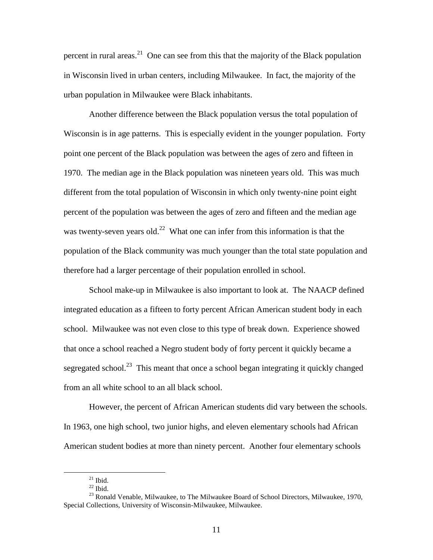percent in rural areas.<sup>21</sup> One can see from this that the majority of the Black population in Wisconsin lived in urban centers, including Milwaukee. In fact, the majority of the urban population in Milwaukee were Black inhabitants.

Another difference between the Black population versus the total population of Wisconsin is in age patterns. This is especially evident in the younger population. Forty point one percent of the Black population was between the ages of zero and fifteen in 1970. The median age in the Black population was nineteen years old. This was much different from the total population of Wisconsin in which only twenty-nine point eight percent of the population was between the ages of zero and fifteen and the median age was twenty-seven years old.<sup>22</sup> What one can infer from this information is that the population of the Black community was much younger than the total state population and therefore had a larger percentage of their population enrolled in school.

School make-up in Milwaukee is also important to look at. The NAACP defined integrated education as a fifteen to forty percent African American student body in each school. Milwaukee was not even close to this type of break down. Experience showed that once a school reached a Negro student body of forty percent it quickly became a segregated school.<sup>23</sup> This meant that once a school began integrating it quickly changed from an all white school to an all black school.

However, the percent of African American students did vary between the schools. In 1963, one high school, two junior highs, and eleven elementary schools had African American student bodies at more than ninety percent. Another four elementary schools

 $^{21}$  Ibid.

 $^{22}$  Ibid.

<sup>&</sup>lt;sup>23</sup> Ronald Venable, Milwaukee, to The Milwaukee Board of School Directors, Milwaukee, 1970, Special Collections, University of Wisconsin-Milwaukee, Milwaukee.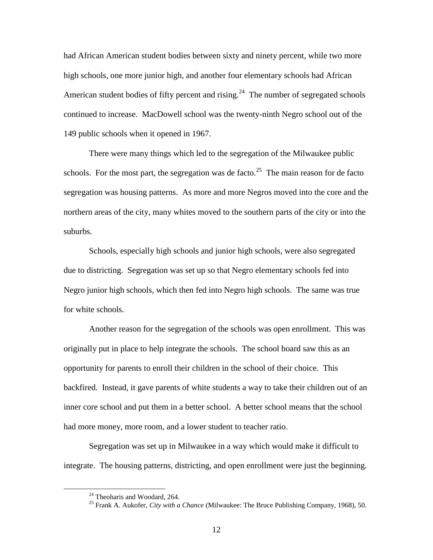had African American student bodies between sixty and ninety percent, while two more high schools, one more junior high, and another four elementary schools had African American student bodies of fifty percent and rising.<sup>24</sup> The number of segregated schools continued to increase. MacDowell school was the twenty-ninth Negro school out of the 149 public schools when it opened in 1967.

There were many things which led to the segregation of the Milwaukee public schools. For the most part, the segregation was de facto.<sup>25</sup> The main reason for de facto segregation was housing patterns. As more and more Negros moved into the core and the northern areas of the city, many whites moved to the southern parts of the city or into the suburbs.

Schools, especially high schools and junior high schools, were also segregated due to districting. Segregation was set up so that Negro elementary schools fed into Negro junior high schools, which then fed into Negro high schools. The same was true for white schools.

Another reason for the segregation of the schools was open enrollment. This was originally put in place to help integrate the schools. The school board saw this as an opportunity for parents to enroll their children in the school of their choice. This backfired. Instead, it gave parents of white students a way to take their children out of an inner core school and put them in a better school. A better school means that the school had more money, more room, and a lower student to teacher ratio.

Segregation was set up in Milwaukee in a way which would make it difficult to integrate. The housing patterns, districting, and open enrollment were just the beginning.

 $24$  Theoharis and Woodard, 264.

<sup>25</sup> Frank A. Aukofer, *City with a Chance* (Milwaukee: The Bruce Publishing Company, 1968), 50.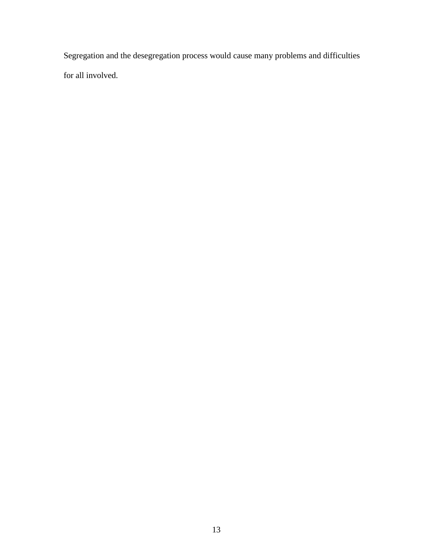Segregation and the desegregation process would cause many problems and difficulties for all involved.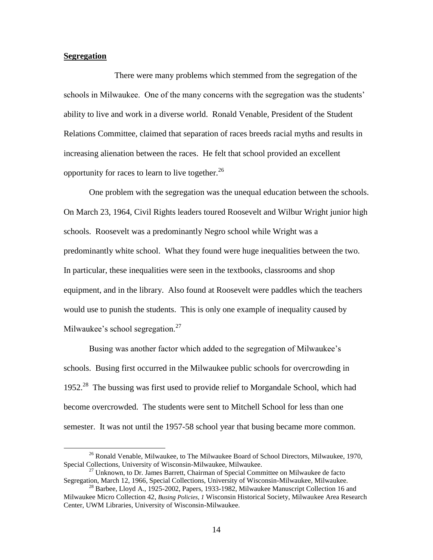## **Segregation**

 $\overline{a}$ 

There were many problems which stemmed from the segregation of the schools in Milwaukee. One of the many concerns with the segregation was the students' ability to live and work in a diverse world. Ronald Venable, President of the Student Relations Committee, claimed that separation of races breeds racial myths and results in increasing alienation between the races. He felt that school provided an excellent opportunity for races to learn to live together. $^{26}$ 

One problem with the segregation was the unequal education between the schools. On March 23, 1964, Civil Rights leaders toured Roosevelt and Wilbur Wright junior high schools. Roosevelt was a predominantly Negro school while Wright was a predominantly white school. What they found were huge inequalities between the two. In particular, these inequalities were seen in the textbooks, classrooms and shop equipment, and in the library. Also found at Roosevelt were paddles which the teachers would use to punish the students. This is only one example of inequality caused by Milwaukee's school segregation.<sup>27</sup>

Busing was another factor which added to the segregation of Milwaukee's schools. Busing first occurred in the Milwaukee public schools for overcrowding in 1952.<sup>28</sup> The bussing was first used to provide relief to Morgandale School, which had become overcrowded. The students were sent to Mitchell School for less than one semester. It was not until the 1957-58 school year that busing became more common.

<sup>&</sup>lt;sup>26</sup> Ronald Venable, Milwaukee, to The Milwaukee Board of School Directors, Milwaukee, 1970, Special Collections, University of Wisconsin-Milwaukee, Milwaukee.

<sup>&</sup>lt;sup>27</sup> Unknown, to Dr. James Barrett, Chairman of Special Committee on Milwaukee de facto Segregation, March 12, 1966, Special Collections, University of Wisconsin-Milwaukee, Milwaukee.

<sup>&</sup>lt;sup>28</sup> Barbee, Lloyd A., 1925-2002, Papers, 1933-1982, Milwaukee Manuscript Collection 16 and Milwaukee Micro Collection 42, *Busing Policies, 1* Wisconsin Historical Society, Milwaukee Area Research Center, UWM Libraries, University of Wisconsin-Milwaukee.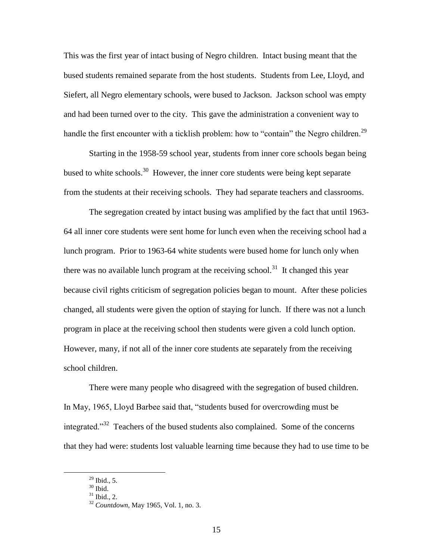This was the first year of intact busing of Negro children. Intact busing meant that the bused students remained separate from the host students. Students from Lee, Lloyd, and Siefert, all Negro elementary schools, were bused to Jackson. Jackson school was empty and had been turned over to the city. This gave the administration a convenient way to handle the first encounter with a ticklish problem: how to "contain" the Negro children.<sup>29</sup>

Starting in the 1958-59 school year, students from inner core schools began being bused to white schools.<sup>30</sup> However, the inner core students were being kept separate from the students at their receiving schools. They had separate teachers and classrooms.

The segregation created by intact busing was amplified by the fact that until 1963- 64 all inner core students were sent home for lunch even when the receiving school had a lunch program. Prior to 1963-64 white students were bused home for lunch only when there was no available lunch program at the receiving school.<sup>31</sup> It changed this year because civil rights criticism of segregation policies began to mount. After these policies changed, all students were given the option of staying for lunch. If there was not a lunch program in place at the receiving school then students were given a cold lunch option. However, many, if not all of the inner core students ate separately from the receiving school children.

There were many people who disagreed with the segregation of bused children. In May, 1965, Lloyd Barbee said that, "students bused for overcrowding must be integrated."<sup>32</sup> Teachers of the bused students also complained. Some of the concerns that they had were: students lost valuable learning time because they had to use time to be

 $^{29}$  Ibid., 5.

 $30$  Ibid.

 $31$  Ibid., 2.

<sup>32</sup> *Countdown*, May 1965, Vol. 1, no. 3.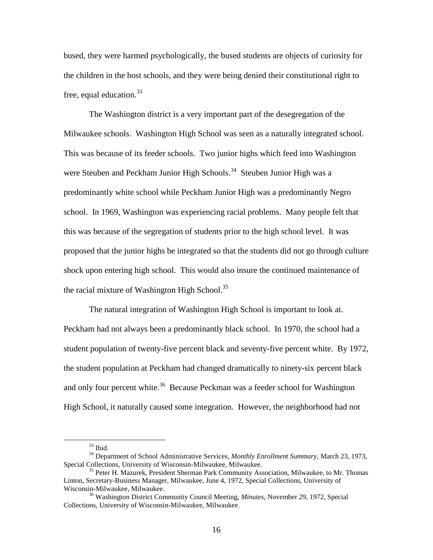bused, they were harmed psychologically, the bused students are objects of curiosity for the children in the host schools, and they were being denied their constitutional right to free, equal education.  $33$ 

The Washington district is a very important part of the desegregation of the Milwaukee schools. Washington High School was seen as a naturally integrated school. This was because of its feeder schools. Two junior highs which feed into Washington were Steuben and Peckham Junior High Schools.<sup>34</sup> Steuben Junior High was a predominantly white school while Peckham Junior High was a predominantly Negro school. In 1969, Washington was experiencing racial problems. Many people felt that this was because of the segregation of students prior to the high school level. It was proposed that the junior highs be integrated so that the students did not go through culture shock upon entering high school. This would also insure the continued maintenance of the racial mixture of Washington High School.<sup>35</sup>

The natural integration of Washington High School is important to look at. Peckham had not always been a predominantly black school. In 1970, the school had a student population of twenty-five percent black and seventy-five percent white. By 1972, the student population at Peckham had changed dramatically to ninety-six percent black and only four percent white.<sup>36</sup> Because Peckman was a feeder school for Washington High School, it naturally caused some integration. However, the neighborhood had not

<sup>33</sup> Ibid.

<sup>34</sup> Department of School Administrative Services, *Monthly Enrollment Summary*, March 23, 1973, Special Collections, University of Wisconsin-Milwaukee, Milwaukee.

<sup>&</sup>lt;sup>35</sup> Peter H. Mazurek, President Sherman Park Community Association, Milwaukee, to Mr. Thomas Linton, Secretary-Business Manager, Milwaukee, June 4, 1972, Special Collections, University of Wisconsin-Milwaukee, Milwaukee.

<sup>36</sup> Washington District Community Council Meeting, *Minutes*, November 29, 1972, Special Collections, University of Wisconsin-Milwaukee, Milwaukee.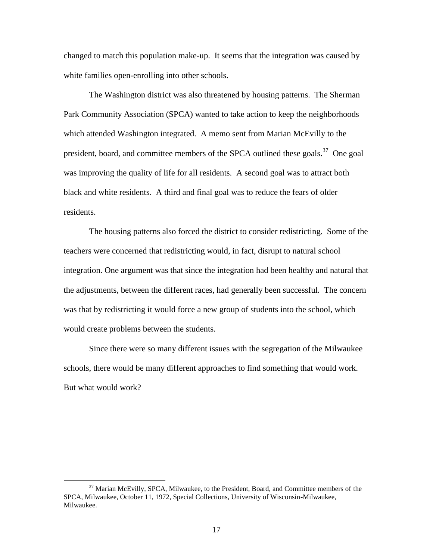changed to match this population make-up. It seems that the integration was caused by white families open-enrolling into other schools.

The Washington district was also threatened by housing patterns. The Sherman Park Community Association (SPCA) wanted to take action to keep the neighborhoods which attended Washington integrated. A memo sent from Marian McEvilly to the president, board, and committee members of the SPCA outlined these goals.<sup>37</sup> One goal was improving the quality of life for all residents. A second goal was to attract both black and white residents. A third and final goal was to reduce the fears of older residents.

The housing patterns also forced the district to consider redistricting. Some of the teachers were concerned that redistricting would, in fact, disrupt to natural school integration. One argument was that since the integration had been healthy and natural that the adjustments, between the different races, had generally been successful. The concern was that by redistricting it would force a new group of students into the school, which would create problems between the students.

Since there were so many different issues with the segregation of the Milwaukee schools, there would be many different approaches to find something that would work. But what would work?

<sup>&</sup>lt;sup>37</sup> Marian McEvilly, SPCA, Milwaukee, to the President, Board, and Committee members of the SPCA, Milwaukee, October 11, 1972, Special Collections, University of Wisconsin-Milwaukee, Milwaukee.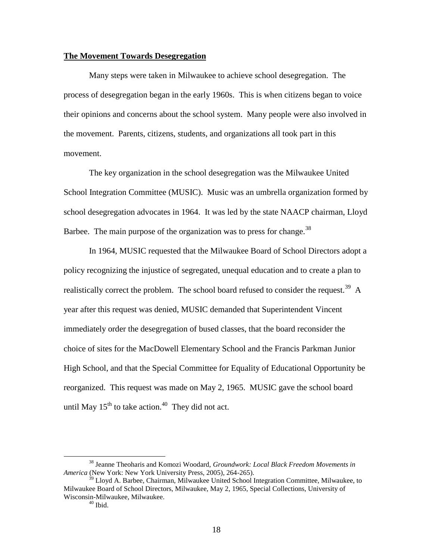## **The Movement Towards Desegregation**

Many steps were taken in Milwaukee to achieve school desegregation. The process of desegregation began in the early 1960s. This is when citizens began to voice their opinions and concerns about the school system. Many people were also involved in the movement. Parents, citizens, students, and organizations all took part in this movement.

The key organization in the school desegregation was the Milwaukee United School Integration Committee (MUSIC). Music was an umbrella organization formed by school desegregation advocates in 1964. It was led by the state NAACP chairman, Lloyd Barbee. The main purpose of the organization was to press for change.<sup>38</sup>

In 1964, MUSIC requested that the Milwaukee Board of School Directors adopt a policy recognizing the injustice of segregated, unequal education and to create a plan to realistically correct the problem. The school board refused to consider the request.<sup>39</sup> A year after this request was denied, MUSIC demanded that Superintendent Vincent immediately order the desegregation of bused classes, that the board reconsider the choice of sites for the MacDowell Elementary School and the Francis Parkman Junior High School, and that the Special Committee for Equality of Educational Opportunity be reorganized. This request was made on May 2, 1965. MUSIC gave the school board until May  $15^{th}$  to take action.<sup>40</sup> They did not act.

<sup>38</sup> Jeanne Theoharis and Komozi Woodard, *Groundwork: Local Black Freedom Movements in America* (New York: New York University Press, 2005), 264-265).

<sup>&</sup>lt;sup>39</sup> Lloyd A. Barbee, Chairman, Milwaukee United School Integration Committee, Milwaukee, to Milwaukee Board of School Directors, Milwaukee, May 2, 1965, Special Collections, University of Wisconsin-Milwaukee, Milwaukee.

 $40$  Ibid.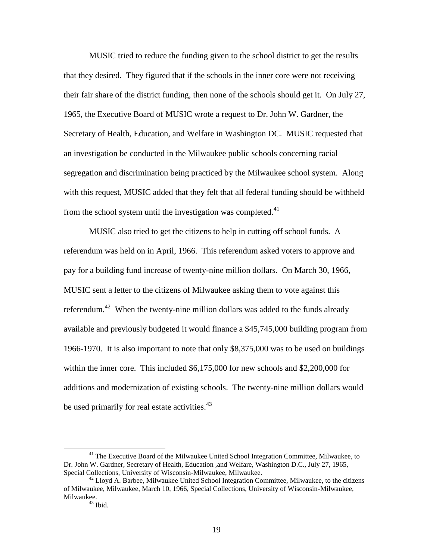MUSIC tried to reduce the funding given to the school district to get the results that they desired. They figured that if the schools in the inner core were not receiving their fair share of the district funding, then none of the schools should get it. On July 27, 1965, the Executive Board of MUSIC wrote a request to Dr. John W. Gardner, the Secretary of Health, Education, and Welfare in Washington DC. MUSIC requested that an investigation be conducted in the Milwaukee public schools concerning racial segregation and discrimination being practiced by the Milwaukee school system. Along with this request, MUSIC added that they felt that all federal funding should be withheld from the school system until the investigation was completed. $41$ 

MUSIC also tried to get the citizens to help in cutting off school funds. A referendum was held on in April, 1966. This referendum asked voters to approve and pay for a building fund increase of twenty-nine million dollars. On March 30, 1966, MUSIC sent a letter to the citizens of Milwaukee asking them to vote against this referendum.<sup>42</sup> When the twenty-nine million dollars was added to the funds already available and previously budgeted it would finance a \$45,745,000 building program from 1966-1970. It is also important to note that only \$8,375,000 was to be used on buildings within the inner core. This included  $$6,175,000$  for new schools and  $$2,200,000$  for additions and modernization of existing schools. The twenty-nine million dollars would be used primarily for real estate activities.<sup>43</sup>

<sup>&</sup>lt;sup>41</sup> The Executive Board of the Milwaukee United School Integration Committee, Milwaukee, to Dr. John W. Gardner, Secretary of Health, Education ,and Welfare, Washington D.C., July 27, 1965, Special Collections, University of Wisconsin-Milwaukee, Milwaukee.

 $^{42}$  Lloyd A. Barbee, Milwaukee United School Integration Committee, Milwaukee, to the citizens of Milwaukee, Milwaukee, March 10, 1966, Special Collections, University of Wisconsin-Milwaukee, Milwaukee.

 $43$  Ibid.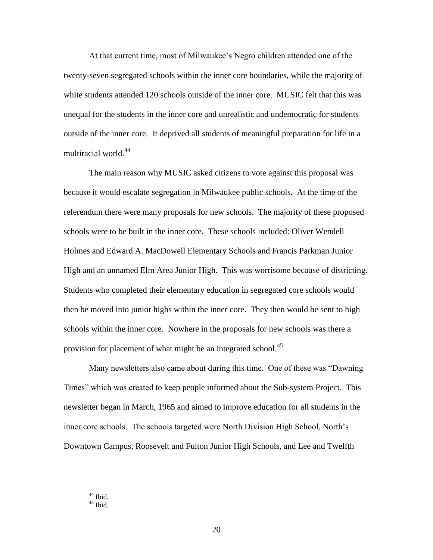At that current time, most of Milwaukee's Negro children attended one of the twenty-seven segregated schools within the inner core boundaries, while the majority of white students attended 120 schools outside of the inner core. MUSIC felt that this was unequal for the students in the inner core and unrealistic and undemocratic for students outside of the inner core. It deprived all students of meaningful preparation for life in a multiracial world.<sup>44</sup>

The main reason why MUSIC asked citizens to vote against this proposal was because it would escalate segregation in Milwaukee public schools. At the time of the referendum there were many proposals for new schools. The majority of these proposed schools were to be built in the inner core. These schools included: Oliver Wendell Holmes and Edward A. MacDowell Elementary Schools and Francis Parkman Junior High and an unnamed Elm Area Junior High. This was worrisome because of districting. Students who completed their elementary education in segregated core schools would then be moved into junior highs within the inner core. They then would be sent to high schools within the inner core. Nowhere in the proposals for new schools was there a provision for placement of what might be an integrated school.<sup>45</sup>

Many newsletters also came about during this time. One of these was "Dawning Times" which was created to keep people informed about the Sub-system Project. This newsletter began in March, 1965 and aimed to improve education for all students in the inner core schools. The schools targeted were North Division High School, North's Downtown Campus, Roosevelt and Fulton Junior High Schools, and Lee and Twelfth

 $44$  Ibid.  $45$  Ibid.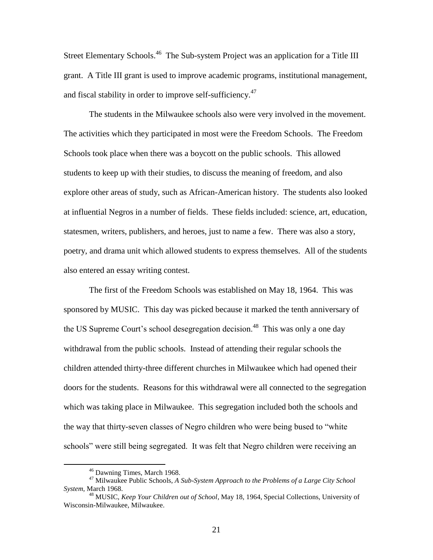Street Elementary Schools.<sup>46</sup> The Sub-system Project was an application for a Title III grant. A Title III grant is used to improve academic programs, institutional management, and fiscal stability in order to improve self-sufficiency.<sup>47</sup>

The students in the Milwaukee schools also were very involved in the movement. The activities which they participated in most were the Freedom Schools. The Freedom Schools took place when there was a boycott on the public schools. This allowed students to keep up with their studies, to discuss the meaning of freedom, and also explore other areas of study, such as African-American history. The students also looked at influential Negros in a number of fields. These fields included: science, art, education, statesmen, writers, publishers, and heroes, just to name a few. There was also a story, poetry, and drama unit which allowed students to express themselves. All of the students also entered an essay writing contest.

The first of the Freedom Schools was established on May 18, 1964. This was sponsored by MUSIC. This day was picked because it marked the tenth anniversary of the US Supreme Court's school desegregation decision.<sup>48</sup> This was only a one day withdrawal from the public schools. Instead of attending their regular schools the children attended thirty-three different churches in Milwaukee which had opened their doors for the students. Reasons for this withdrawal were all connected to the segregation which was taking place in Milwaukee. This segregation included both the schools and the way that thirty-seven classes of Negro children who were being bused to "white schools" were still being segregated. It was felt that Negro children were receiving an

<sup>46</sup> Dawning Times, March 1968.

<sup>47</sup> Milwaukee Public Schools, *A Sub-System Approach to the Problems of a Large City School System*, March 1968.

<sup>48</sup> MUSIC, *Keep Your Children out of School*, May 18, 1964, Special Collections, University of Wisconsin-Milwaukee, Milwaukee.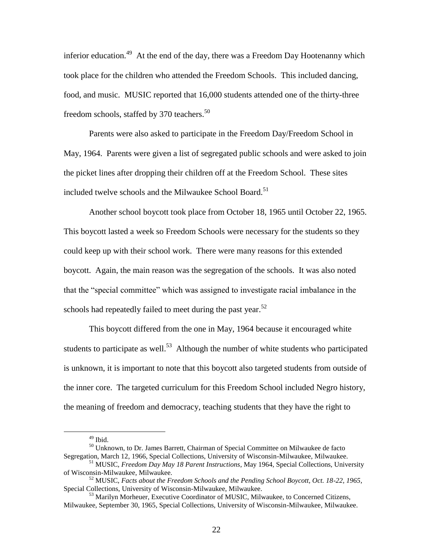inferior education.<sup>49</sup> At the end of the day, there was a Freedom Day Hootenanny which took place for the children who attended the Freedom Schools. This included dancing, food, and music. MUSIC reported that 16,000 students attended one of the thirty-three freedom schools, staffed by 370 teachers.<sup>50</sup>

Parents were also asked to participate in the Freedom Day/Freedom School in May, 1964. Parents were given a list of segregated public schools and were asked to join the picket lines after dropping their children off at the Freedom School. These sites included twelve schools and the Milwaukee School Board.<sup>51</sup>

Another school boycott took place from October 18, 1965 until October 22, 1965. This boycott lasted a week so Freedom Schools were necessary for the students so they could keep up with their school work. There were many reasons for this extended boycott. Again, the main reason was the segregation of the schools. It was also noted that the "special committee" which was assigned to investigate racial imbalance in the schools had repeatedly failed to meet during the past year.<sup>52</sup>

This boycott differed from the one in May, 1964 because it encouraged white students to participate as well.<sup>53</sup> Although the number of white students who participated is unknown, it is important to note that this boycott also targeted students from outside of the inner core. The targeted curriculum for this Freedom School included Negro history, the meaning of freedom and democracy, teaching students that they have the right to

<sup>49</sup> Ibid.

<sup>50</sup> Unknown, to Dr. James Barrett, Chairman of Special Committee on Milwaukee de facto Segregation, March 12, 1966, Special Collections, University of Wisconsin-Milwaukee, Milwaukee.

<sup>51</sup> MUSIC, *Freedom Day May 18 Parent Instructions*, May 1964, Special Collections, University of Wisconsin-Milwaukee, Milwaukee.

<sup>52</sup> MUSIC, *Facts about the Freedom Schools and the Pending School Boycott, Oct. 18-22, 1965*, Special Collections, University of Wisconsin-Milwaukee, Milwaukee.

<sup>53</sup> Marilyn Morheuer, Executive Coordinator of MUSIC, Milwaukee, to Concerned Citizens, Milwaukee, September 30, 1965, Special Collections, University of Wisconsin-Milwaukee, Milwaukee.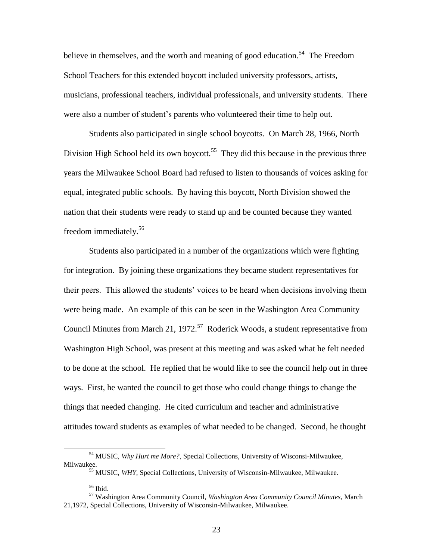believe in themselves, and the worth and meaning of good education.<sup>54</sup> The Freedom School Teachers for this extended boycott included university professors, artists, musicians, professional teachers, individual professionals, and university students. There were also a number of student's parents who volunteered their time to help out.

Students also participated in single school boycotts. On March 28, 1966, North Division High School held its own boycott.<sup>55</sup> They did this because in the previous three years the Milwaukee School Board had refused to listen to thousands of voices asking for equal, integrated public schools. By having this boycott, North Division showed the nation that their students were ready to stand up and be counted because they wanted freedom immediately.<sup>56</sup>

Students also participated in a number of the organizations which were fighting for integration. By joining these organizations they became student representatives for their peers. This allowed the students' voices to be heard when decisions involving them were being made. An example of this can be seen in the Washington Area Community Council Minutes from March 21, 1972.<sup>57</sup> Roderick Woods, a student representative from Washington High School, was present at this meeting and was asked what he felt needed to be done at the school. He replied that he would like to see the council help out in three ways. First, he wanted the council to get those who could change things to change the things that needed changing. He cited curriculum and teacher and administrative attitudes toward students as examples of what needed to be changed. Second, he thought

<sup>54</sup> MUSIC, *Why Hurt me More?*, Special Collections, University of Wisconsi-Milwaukee, Milwaukee.

<sup>55</sup> MUSIC, *WHY*, Special Collections, University of Wisconsin-Milwaukee, Milwaukee.

<sup>56</sup> Ibid.

<sup>57</sup> Washington Area Community Council, *Washington Area Community Council Minutes*, March 21,1972, Special Collections, University of Wisconsin-Milwaukee, Milwaukee.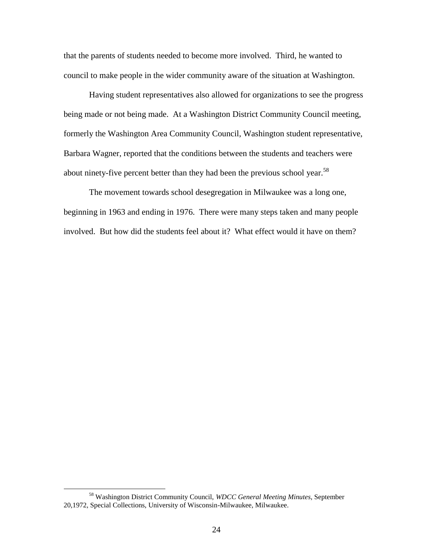that the parents of students needed to become more involved. Third, he wanted to council to make people in the wider community aware of the situation at Washington.

Having student representatives also allowed for organizations to see the progress being made or not being made. At a Washington District Community Council meeting, formerly the Washington Area Community Council, Washington student representative, Barbara Wagner, reported that the conditions between the students and teachers were about ninety-five percent better than they had been the previous school year.<sup>58</sup>

The movement towards school desegregation in Milwaukee was a long one, beginning in 1963 and ending in 1976. There were many steps taken and many people involved. But how did the students feel about it? What effect would it have on them?

<sup>58</sup> Washington District Community Council, *WDCC General Meeting Minutes*, September 20,1972, Special Collections, University of Wisconsin-Milwaukee, Milwaukee.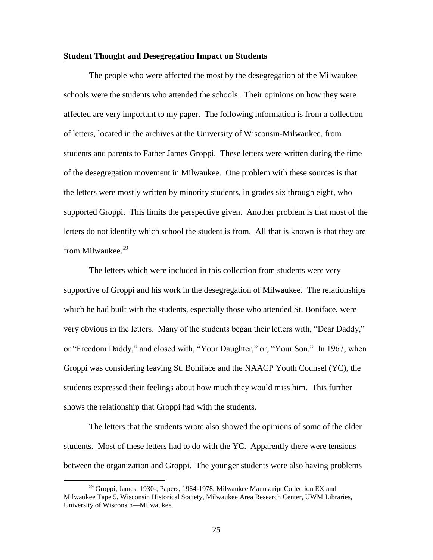### **Student Thought and Desegregation Impact on Students**

The people who were affected the most by the desegregation of the Milwaukee schools were the students who attended the schools. Their opinions on how they were affected are very important to my paper. The following information is from a collection of letters, located in the archives at the University of Wisconsin-Milwaukee, from students and parents to Father James Groppi. These letters were written during the time of the desegregation movement in Milwaukee. One problem with these sources is that the letters were mostly written by minority students, in grades six through eight, who supported Groppi. This limits the perspective given. Another problem is that most of the letters do not identify which school the student is from. All that is known is that they are from Milwaukee.<sup>59</sup>

The letters which were included in this collection from students were very supportive of Groppi and his work in the desegregation of Milwaukee. The relationships which he had built with the students, especially those who attended St. Boniface, were very obvious in the letters. Many of the students began their letters with, "Dear Daddy," or "Freedom Daddy," and closed with, "Your Daughter," or, "Your Son." In 1967, when Groppi was considering leaving St. Boniface and the NAACP Youth Counsel (YC), the students expressed their feelings about how much they would miss him. This further shows the relationship that Groppi had with the students.

The letters that the students wrote also showed the opinions of some of the older students. Most of these letters had to do with the YC. Apparently there were tensions between the organization and Groppi. The younger students were also having problems

<sup>59</sup> Groppi, James, 1930-, Papers, 1964-1978, Milwaukee Manuscript Collection EX and Milwaukee Tape 5, Wisconsin Historical Society, Milwaukee Area Research Center, UWM Libraries, University of Wisconsin—Milwaukee.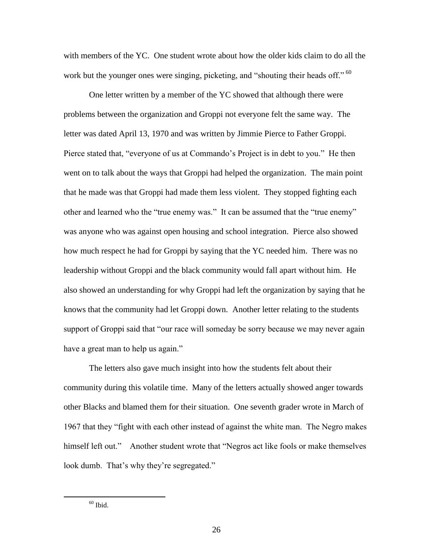with members of the YC. One student wrote about how the older kids claim to do all the work but the younger ones were singing, picketing, and "shouting their heads off."<sup>60</sup>

One letter written by a member of the YC showed that although there were problems between the organization and Groppi not everyone felt the same way. The letter was dated April 13, 1970 and was written by Jimmie Pierce to Father Groppi. Pierce stated that, "everyone of us at Commando's Project is in debt to you." He then went on to talk about the ways that Groppi had helped the organization. The main point that he made was that Groppi had made them less violent. They stopped fighting each other and learned who the "true enemy was." It can be assumed that the "true enemy" was anyone who was against open housing and school integration. Pierce also showed how much respect he had for Groppi by saying that the YC needed him. There was no leadership without Groppi and the black community would fall apart without him. He also showed an understanding for why Groppi had left the organization by saying that he knows that the community had let Groppi down. Another letter relating to the students support of Groppi said that "our race will someday be sorry because we may never again have a great man to help us again."

The letters also gave much insight into how the students felt about their community during this volatile time. Many of the letters actually showed anger towards other Blacks and blamed them for their situation. One seventh grader wrote in March of 1967 that they "fight with each other instead of against the white man. The Negro makes himself left out." Another student wrote that "Negros act like fools or make themselves look dumb. That's why they're segregated."

 $60$  Ibid.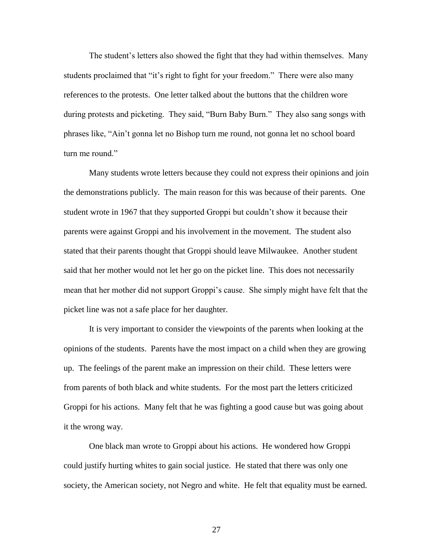The student's letters also showed the fight that they had within themselves. Many students proclaimed that "it's right to fight for your freedom." There were also many references to the protests. One letter talked about the buttons that the children wore during protests and picketing. They said, "Burn Baby Burn." They also sang songs with phrases like, "Ain't gonna let no Bishop turn me round, not gonna let no school board turn me round."

Many students wrote letters because they could not express their opinions and join the demonstrations publicly. The main reason for this was because of their parents. One student wrote in 1967 that they supported Groppi but couldn't show it because their parents were against Groppi and his involvement in the movement. The student also stated that their parents thought that Groppi should leave Milwaukee. Another student said that her mother would not let her go on the picket line. This does not necessarily mean that her mother did not support Groppi's cause. She simply might have felt that the picket line was not a safe place for her daughter.

It is very important to consider the viewpoints of the parents when looking at the opinions of the students. Parents have the most impact on a child when they are growing up. The feelings of the parent make an impression on their child. These letters were from parents of both black and white students. For the most part the letters criticized Groppi for his actions. Many felt that he was fighting a good cause but was going about it the wrong way.

One black man wrote to Groppi about his actions. He wondered how Groppi could justify hurting whites to gain social justice. He stated that there was only one society, the American society, not Negro and white. He felt that equality must be earned.

27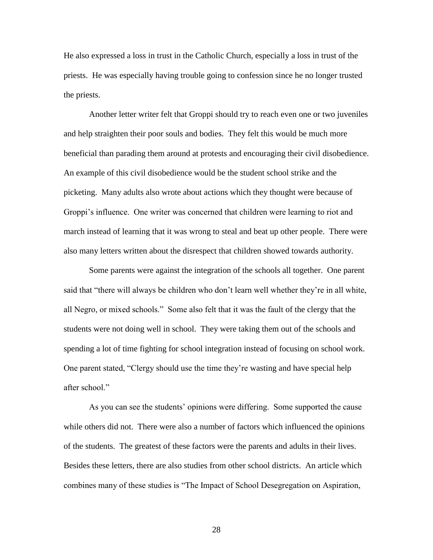He also expressed a loss in trust in the Catholic Church, especially a loss in trust of the priests. He was especially having trouble going to confession since he no longer trusted the priests.

Another letter writer felt that Groppi should try to reach even one or two juveniles and help straighten their poor souls and bodies. They felt this would be much more beneficial than parading them around at protests and encouraging their civil disobedience. An example of this civil disobedience would be the student school strike and the picketing. Many adults also wrote about actions which they thought were because of Groppi's influence. One writer was concerned that children were learning to riot and march instead of learning that it was wrong to steal and beat up other people. There were also many letters written about the disrespect that children showed towards authority.

Some parents were against the integration of the schools all together. One parent said that "there will always be children who don't learn well whether they're in all white, all Negro, or mixed schools." Some also felt that it was the fault of the clergy that the students were not doing well in school. They were taking them out of the schools and spending a lot of time fighting for school integration instead of focusing on school work. One parent stated, "Clergy should use the time they're wasting and have special help after school."

As you can see the students' opinions were differing. Some supported the cause while others did not. There were also a number of factors which influenced the opinions of the students. The greatest of these factors were the parents and adults in their lives. Besides these letters, there are also studies from other school districts. An article which combines many of these studies is "The Impact of School Desegregation on Aspiration,

28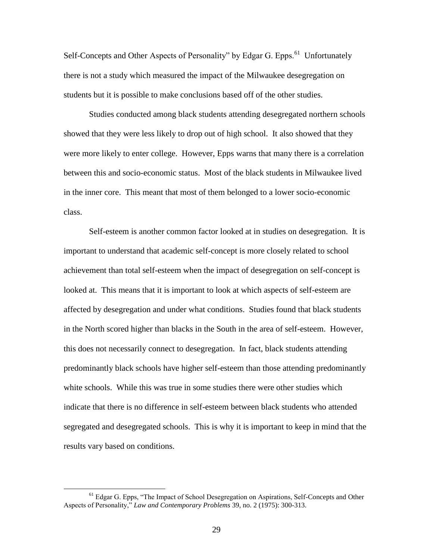Self-Concepts and Other Aspects of Personality" by Edgar G. Epps.<sup>61</sup> Unfortunately there is not a study which measured the impact of the Milwaukee desegregation on students but it is possible to make conclusions based off of the other studies.

Studies conducted among black students attending desegregated northern schools showed that they were less likely to drop out of high school. It also showed that they were more likely to enter college. However, Epps warns that many there is a correlation between this and socio-economic status. Most of the black students in Milwaukee lived in the inner core. This meant that most of them belonged to a lower socio-economic class.

Self-esteem is another common factor looked at in studies on desegregation. It is important to understand that academic self-concept is more closely related to school achievement than total self-esteem when the impact of desegregation on self-concept is looked at. This means that it is important to look at which aspects of self-esteem are affected by desegregation and under what conditions. Studies found that black students in the North scored higher than blacks in the South in the area of self-esteem. However, this does not necessarily connect to desegregation. In fact, black students attending predominantly black schools have higher self-esteem than those attending predominantly white schools. While this was true in some studies there were other studies which indicate that there is no difference in self-esteem between black students who attended segregated and desegregated schools. This is why it is important to keep in mind that the results vary based on conditions.

 $<sup>61</sup>$  Edgar G. Epps, "The Impact of School Desegregation on Aspirations, Self-Concepts and Other</sup> Aspects of Personality," *Law and Contemporary Problems* 39, no. 2 (1975): 300-313.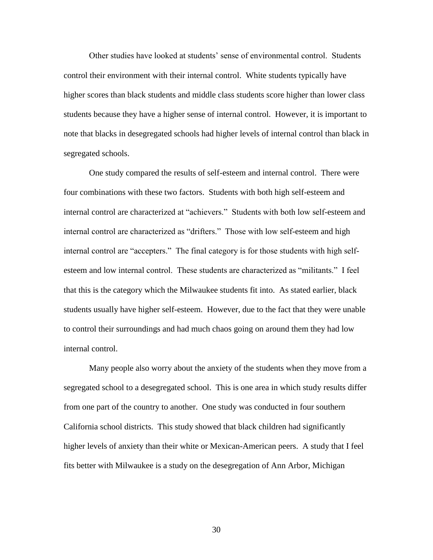Other studies have looked at students' sense of environmental control. Students control their environment with their internal control. White students typically have higher scores than black students and middle class students score higher than lower class students because they have a higher sense of internal control. However, it is important to note that blacks in desegregated schools had higher levels of internal control than black in segregated schools.

One study compared the results of self-esteem and internal control. There were four combinations with these two factors. Students with both high self-esteem and internal control are characterized at "achievers." Students with both low self-esteem and internal control are characterized as "drifters." Those with low self-esteem and high internal control are "accepters." The final category is for those students with high selfesteem and low internal control. These students are characterized as "militants." I feel that this is the category which the Milwaukee students fit into. As stated earlier, black students usually have higher self-esteem. However, due to the fact that they were unable to control their surroundings and had much chaos going on around them they had low internal control.

Many people also worry about the anxiety of the students when they move from a segregated school to a desegregated school. This is one area in which study results differ from one part of the country to another. One study was conducted in four southern California school districts. This study showed that black children had significantly higher levels of anxiety than their white or Mexican-American peers. A study that I feel fits better with Milwaukee is a study on the desegregation of Ann Arbor, Michigan

30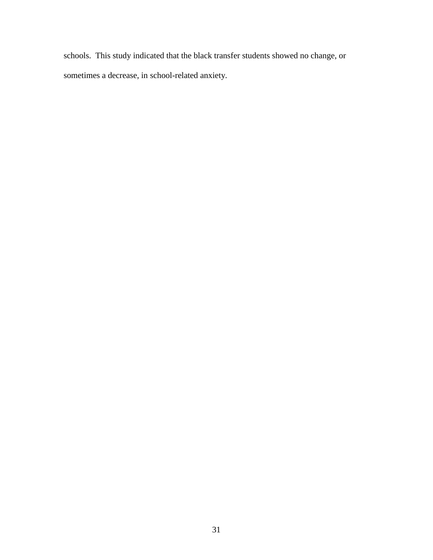schools. This study indicated that the black transfer students showed no change, or sometimes a decrease, in school-related anxiety.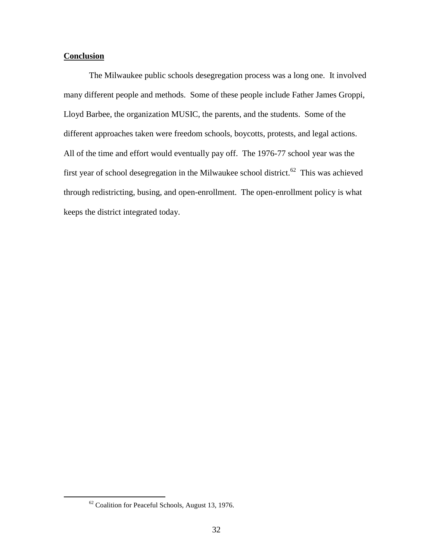# **Conclusion**

The Milwaukee public schools desegregation process was a long one. It involved many different people and methods. Some of these people include Father James Groppi, Lloyd Barbee, the organization MUSIC, the parents, and the students. Some of the different approaches taken were freedom schools, boycotts, protests, and legal actions. All of the time and effort would eventually pay off. The 1976-77 school year was the first year of school desegregation in the Milwaukee school district.<sup>62</sup> This was achieved through redistricting, busing, and open-enrollment. The open-enrollment policy is what keeps the district integrated today.

 $62$  Coalition for Peaceful Schools, August 13, 1976.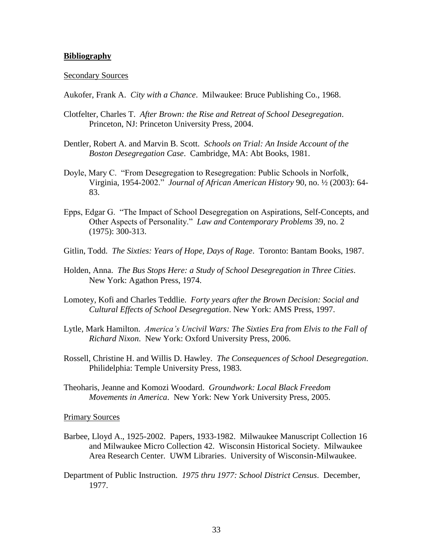#### **Bibliography**

#### Secondary Sources

Aukofer, Frank A. *City with a Chance*. Milwaukee: Bruce Publishing Co., 1968.

- Clotfelter, Charles T. *After Brown: the Rise and Retreat of School Desegregation*. Princeton, NJ: Princeton University Press, 2004.
- Dentler, Robert A. and Marvin B. Scott. *Schools on Trial: An Inside Account of the Boston Desegregation Case*. Cambridge, MA: Abt Books, 1981.
- Doyle, Mary C. "From Desegregation to Resegregation: Public Schools in Norfolk, Virginia, 1954-2002." *Journal of African American History* 90, no. ½ (2003): 64- 83.
- Epps, Edgar G. "The Impact of School Desegregation on Aspirations, Self-Concepts, and Other Aspects of Personality." *Law and Contemporary Problems* 39, no. 2 (1975): 300-313.
- Gitlin, Todd. *The Sixties: Years of Hope, Days of Rage*. Toronto: Bantam Books, 1987.
- Holden, Anna. *The Bus Stops Here: a Study of School Desegregation in Three Cities*. New York: Agathon Press, 1974.
- Lomotey, Kofi and Charles Teddlie. *Forty years after the Brown Decision: Social and Cultural Effects of School Desegregation*. New York: AMS Press, 1997.
- Lytle, Mark Hamilton. *America's Uncivil Wars: The Sixties Era from Elvis to the Fall of Richard Nixon*. New York: Oxford University Press, 2006.
- Rossell, Christine H. and Willis D. Hawley. *The Consequences of School Desegregation*. Philidelphia: Temple University Press, 1983.
- Theoharis, Jeanne and Komozi Woodard. *Groundwork: Local Black Freedom Movements in America*. New York: New York University Press, 2005.

### Primary Sources

- Barbee, Lloyd A., 1925-2002. Papers, 1933-1982. Milwaukee Manuscript Collection 16 and Milwaukee Micro Collection 42. Wisconsin Historical Society. Milwaukee Area Research Center. UWM Libraries. University of Wisconsin-Milwaukee.
- Department of Public Instruction. *1975 thru 1977: School District Census*. December, 1977.